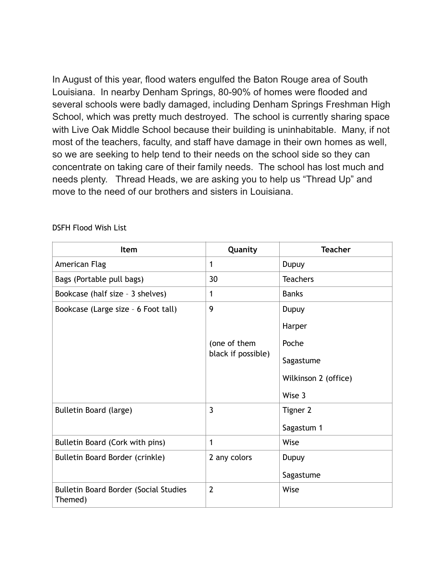In August of this year, flood waters engulfed the Baton Rouge area of South Louisiana. In nearby Denham Springs, 80-90% of homes were flooded and several schools were badly damaged, including Denham Springs Freshman High School, which was pretty much destroyed. The school is currently sharing space with Live Oak Middle School because their building is uninhabitable. Many, if not most of the teachers, faculty, and staff have damage in their own homes as well, so we are seeking to help tend to their needs on the school side so they can concentrate on taking care of their family needs. The school has lost much and needs plenty. Thread Heads, we are asking you to help us "Thread Up" and move to the need of our brothers and sisters in Louisiana.

| Item                                                    | Quanity            | <b>Teacher</b>       |
|---------------------------------------------------------|--------------------|----------------------|
| American Flag                                           | 1                  | Dupuy                |
| Bags (Portable pull bags)                               | 30                 | <b>Teachers</b>      |
| Bookcase (half size - 3 shelves)                        | 1                  | <b>Banks</b>         |
| Bookcase (Large size - 6 Foot tall)                     | 9                  | Dupuy                |
|                                                         |                    | Harper               |
|                                                         | (one of them       | Poche                |
|                                                         | black if possible) | Sagastume            |
|                                                         |                    | Wilkinson 2 (office) |
|                                                         |                    | Wise 3               |
| Bulletin Board (large)                                  | $\overline{3}$     | Tigner 2             |
|                                                         |                    | Sagastum 1           |
| Bulletin Board (Cork with pins)                         | $\mathbf{1}$       | Wise                 |
| Bulletin Board Border (crinkle)                         | 2 any colors       | Dupuy                |
|                                                         |                    | Sagastume            |
| <b>Bulletin Board Border (Social Studies</b><br>Themed) | $\overline{2}$     | Wise                 |

## DSFH Flood Wish List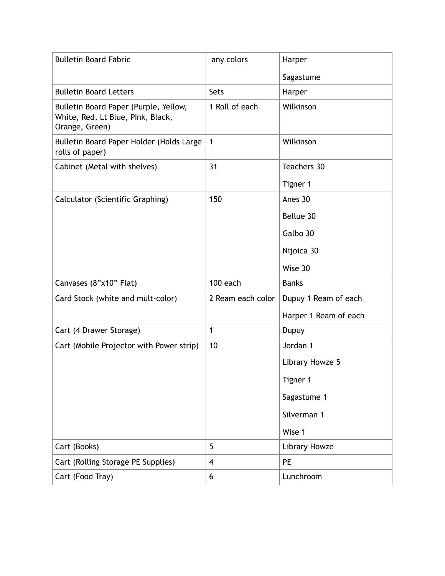| <b>Bulletin Board Fabric</b>                                                                 | any colors              | Harper                |
|----------------------------------------------------------------------------------------------|-------------------------|-----------------------|
|                                                                                              |                         | Sagastume             |
| <b>Bulletin Board Letters</b>                                                                | Sets                    | Harper                |
| Bulletin Board Paper (Purple, Yellow,<br>White, Red, Lt Blue, Pink, Black,<br>Orange, Green) | 1 Roll of each          | Wilkinson             |
| Bulletin Board Paper Holder (Holds Large<br>rolls of paper)                                  | $\mathbf{1}$            | Wilkinson             |
| Cabinet (Metal with shelves)                                                                 | 31                      | Teachers 30           |
|                                                                                              |                         | Tigner 1              |
| Calculator (Scientific Graphing)                                                             | 150                     | Anes 30               |
|                                                                                              |                         | Bellue 30             |
|                                                                                              |                         | Galbo 30              |
|                                                                                              |                         | Nijoica 30            |
|                                                                                              |                         | Wise 30               |
| Canvases (8"x10" Flat)                                                                       | 100 each                | <b>Banks</b>          |
| Card Stock (white and mult-color)                                                            | 2 Ream each color       | Dupuy 1 Ream of each  |
|                                                                                              |                         | Harper 1 Ream of each |
| Cart (4 Drawer Storage)                                                                      | $\mathbf{1}$            | Dupuy                 |
| Cart (Mobile Projector with Power strip)                                                     | 10                      | Jordan 1              |
|                                                                                              |                         | Library Howze 5       |
|                                                                                              |                         | Tigner 1              |
|                                                                                              |                         | Sagastume 1           |
|                                                                                              |                         | Silverman 1           |
|                                                                                              |                         | Wise 1                |
| Cart (Books)                                                                                 | 5                       | Library Howze         |
| Cart (Rolling Storage PE Supplies)                                                           | $\overline{\mathbf{4}}$ | PE                    |
| Cart (Food Tray)                                                                             | 6                       | Lunchroom             |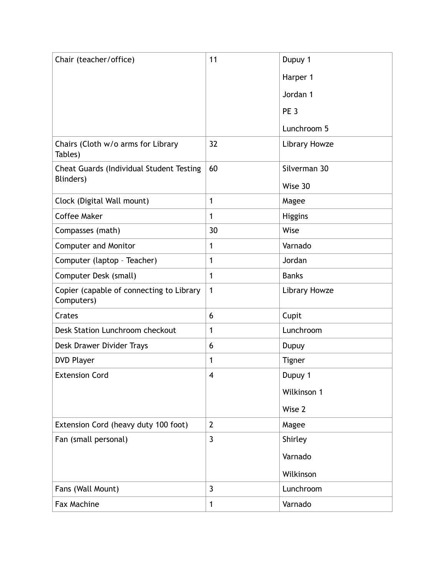| Chair (teacher/office)                                 | 11             | Dupuy 1         |
|--------------------------------------------------------|----------------|-----------------|
|                                                        |                | Harper 1        |
|                                                        |                | Jordan 1        |
|                                                        |                | PE <sub>3</sub> |
|                                                        |                | Lunchroom 5     |
| Chairs (Cloth w/o arms for Library<br>Tables)          | 32             | Library Howze   |
| Cheat Guards (Individual Student Testing               | 60             | Silverman 30    |
| Blinders)                                              |                | Wise 30         |
| Clock (Digital Wall mount)                             | 1              | Magee           |
| <b>Coffee Maker</b>                                    | 1              | <b>Higgins</b>  |
| Compasses (math)                                       | 30             | Wise            |
| <b>Computer and Monitor</b>                            | 1              | Varnado         |
| Computer (laptop - Teacher)                            | 1              | Jordan          |
| Computer Desk (small)                                  | 1              | <b>Banks</b>    |
| Copier (capable of connecting to Library<br>Computers) | 1              | Library Howze   |
| Crates                                                 | 6              | Cupit           |
| Desk Station Lunchroom checkout                        | $\mathbf{1}$   | Lunchroom       |
| Desk Drawer Divider Trays                              | 6              | Dupuy           |
| <b>DVD Player</b>                                      | 1              | <b>Tigner</b>   |
| <b>Extension Cord</b>                                  | 4              | Dupuy 1         |
|                                                        |                | Wilkinson 1     |
|                                                        |                | Wise 2          |
| Extension Cord (heavy duty 100 foot)                   | $\overline{2}$ | Magee           |
| Fan (small personal)                                   | $\overline{3}$ | Shirley         |
|                                                        |                | Varnado         |
|                                                        |                | Wilkinson       |
| Fans (Wall Mount)                                      | $\overline{3}$ | Lunchroom       |
| Fax Machine                                            | 1              | Varnado         |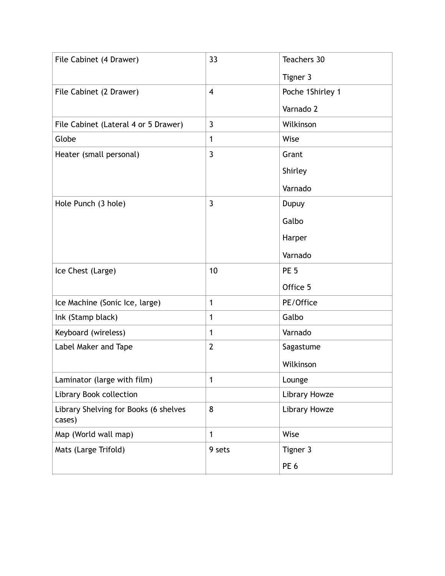| File Cabinet (4 Drawer)                         | 33                      | Teachers 30      |
|-------------------------------------------------|-------------------------|------------------|
|                                                 |                         | Tigner 3         |
| File Cabinet (2 Drawer)                         | $\overline{\mathbf{4}}$ | Poche 1Shirley 1 |
|                                                 |                         | Varnado 2        |
| File Cabinet (Lateral 4 or 5 Drawer)            | $\mathbf{3}$            | Wilkinson        |
| Globe                                           | 1                       | Wise             |
| Heater (small personal)                         | $\overline{3}$          | Grant            |
|                                                 |                         | Shirley          |
|                                                 |                         | Varnado          |
| Hole Punch (3 hole)                             | $\overline{3}$          | Dupuy            |
|                                                 |                         | Galbo            |
|                                                 |                         | Harper           |
|                                                 |                         | Varnado          |
| Ice Chest (Large)                               | 10                      | PE <sub>5</sub>  |
|                                                 |                         | Office 5         |
| Ice Machine (Sonic Ice, large)                  | 1                       | PE/Office        |
| Ink (Stamp black)                               | 1                       | Galbo            |
| Keyboard (wireless)                             | $\mathbf{1}$            | Varnado          |
| Label Maker and Tape                            | $\overline{2}$          | Sagastume        |
|                                                 |                         | Wilkinson        |
| Laminator (large with film)                     | 1                       | Lounge           |
| Library Book collection                         |                         | Library Howze    |
| Library Shelving for Books (6 shelves<br>cases) | 8                       | Library Howze    |
| Map (World wall map)                            | 1                       | Wise             |
| Mats (Large Trifold)                            | 9 sets                  | Tigner 3         |
|                                                 |                         | PE <sub>6</sub>  |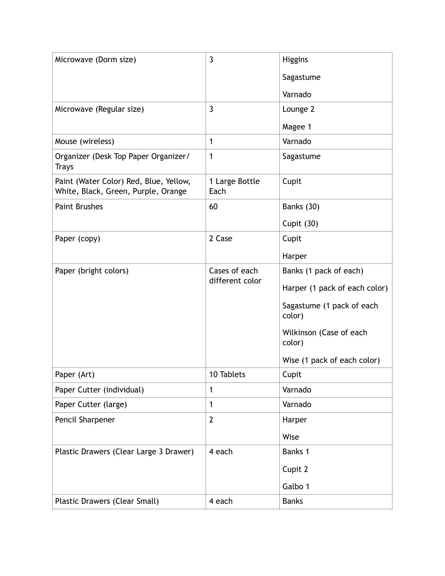| Microwave (Dorm size)                                                         | $\overline{3}$         | <b>Higgins</b>                      |
|-------------------------------------------------------------------------------|------------------------|-------------------------------------|
|                                                                               |                        | Sagastume                           |
|                                                                               |                        | Varnado                             |
| Microwave (Regular size)                                                      | $\mathbf{3}$           | Lounge 2                            |
|                                                                               |                        | Magee 1                             |
| Mouse (wireless)                                                              | 1                      | Varnado                             |
| Organizer (Desk Top Paper Organizer/<br><b>Trays</b>                          | $\mathbf{1}$           | Sagastume                           |
| Paint (Water Color) Red, Blue, Yellow,<br>White, Black, Green, Purple, Orange | 1 Large Bottle<br>Each | Cupit                               |
| <b>Paint Brushes</b>                                                          | 60                     | Banks (30)                          |
|                                                                               |                        | Cupit (30)                          |
| Paper (copy)                                                                  | 2 Case                 | Cupit                               |
|                                                                               |                        | Harper                              |
| Paper (bright colors)                                                         | Cases of each          | Banks (1 pack of each)              |
|                                                                               | different color        | Harper (1 pack of each color)       |
|                                                                               |                        | Sagastume (1 pack of each<br>color) |
|                                                                               |                        | Wilkinson (Case of each<br>color)   |
|                                                                               |                        | Wise (1 pack of each color)         |
| Paper (Art)                                                                   | 10 Tablets             | Cupit                               |
| Paper Cutter (individual)                                                     | 1                      | Varnado                             |
| Paper Cutter (large)                                                          | 1                      | Varnado                             |
| Pencil Sharpener                                                              | $\overline{2}$         | Harper                              |
|                                                                               |                        | Wise                                |
| Plastic Drawers (Clear Large 3 Drawer)                                        | 4 each                 | Banks 1                             |
|                                                                               |                        | Cupit 2                             |
|                                                                               |                        | Galbo 1                             |
| Plastic Drawers (Clear Small)                                                 | 4 each                 | <b>Banks</b>                        |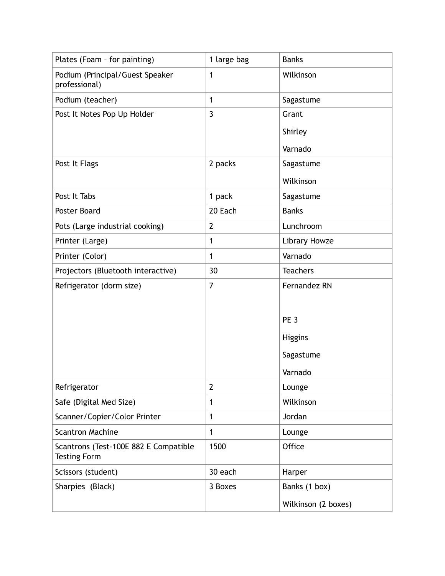| Plates (Foam - for painting)                                 | 1 large bag    | <b>Banks</b>        |
|--------------------------------------------------------------|----------------|---------------------|
| Podium (Principal/Guest Speaker<br>professional)             | $\mathbf{1}$   | Wilkinson           |
| Podium (teacher)                                             | $\mathbf{1}$   | Sagastume           |
| Post It Notes Pop Up Holder                                  | $\overline{3}$ | Grant               |
|                                                              |                | Shirley             |
|                                                              |                | Varnado             |
| Post It Flags                                                | 2 packs        | Sagastume           |
|                                                              |                | Wilkinson           |
| Post It Tabs                                                 | 1 pack         | Sagastume           |
| Poster Board                                                 | 20 Each        | <b>Banks</b>        |
| Pots (Large industrial cooking)                              | $\overline{2}$ | Lunchroom           |
| Printer (Large)                                              | $\mathbf{1}$   | Library Howze       |
| Printer (Color)                                              | 1              | Varnado             |
| Projectors (Bluetooth interactive)                           | 30             | <b>Teachers</b>     |
| Refrigerator (dorm size)                                     | $\overline{7}$ | Fernandez RN        |
|                                                              |                |                     |
|                                                              |                | PE <sub>3</sub>     |
|                                                              |                | <b>Higgins</b>      |
|                                                              |                | Sagastume           |
|                                                              |                | Varnado             |
| Refrigerator                                                 | $\overline{2}$ | Lounge              |
| Safe (Digital Med Size)                                      | 1              | Wilkinson           |
| Scanner/Copier/Color Printer                                 | 1              | Jordan              |
| <b>Scantron Machine</b>                                      | $\mathbf{1}$   | Lounge              |
| Scantrons (Test-100E 882 E Compatible<br><b>Testing Form</b> | 1500           | Office              |
| Scissors (student)                                           | 30 each        | Harper              |
| Sharpies (Black)                                             | 3 Boxes        | Banks (1 box)       |
|                                                              |                | Wilkinson (2 boxes) |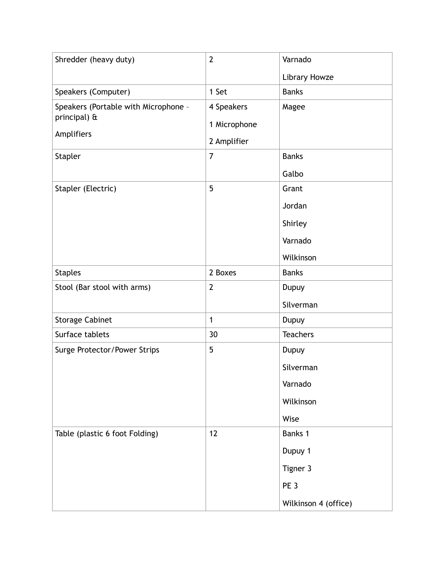| $\overline{2}$ | Varnado         |
|----------------|-----------------|
|                | Library Howze   |
| 1 Set          | <b>Banks</b>    |
| 4 Speakers     | Magee           |
| 1 Microphone   |                 |
| 2 Amplifier    |                 |
| $\overline{7}$ | <b>Banks</b>    |
|                | Galbo           |
| 5              | Grant           |
|                | Jordan          |
|                | Shirley         |
|                | Varnado         |
|                | Wilkinson       |
| 2 Boxes        | <b>Banks</b>    |
| $\overline{2}$ | Dupuy           |
|                | Silverman       |
| $\mathbf{1}$   | Dupuy           |
| 30             | <b>Teachers</b> |
| 5              | Dupuy           |
|                | Silverman       |
|                | Varnado         |
|                | Wilkinson       |
|                | Wise            |
| 12             | Banks 1         |
|                | Dupuy 1         |
|                | Tigner 3        |
|                | PE <sub>3</sub> |
|                |                 |
|                |                 |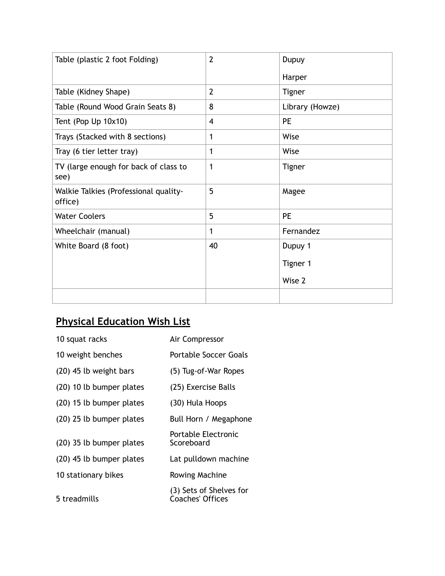| Table (plastic 2 foot Folding)                   | $\overline{2}$ | Dupuy           |
|--------------------------------------------------|----------------|-----------------|
|                                                  |                | Harper          |
| Table (Kidney Shape)                             | $\overline{2}$ | <b>Tigner</b>   |
| Table (Round Wood Grain Seats 8)                 | 8              | Library (Howze) |
| Tent (Pop Up 10x10)                              | 4              | <b>PE</b>       |
| Trays (Stacked with 8 sections)                  | 1              | Wise            |
| Tray (6 tier letter tray)                        | 1              | Wise            |
| TV (large enough for back of class to<br>see)    | 1              | <b>Tigner</b>   |
| Walkie Talkies (Professional quality-<br>office) | 5              | Magee           |
| <b>Water Coolers</b>                             | 5              | <b>PE</b>       |
| Wheelchair (manual)                              | 1              | Fernandez       |
| White Board (8 foot)                             | 40             | Dupuy 1         |
|                                                  |                | Tigner 1        |
|                                                  |                | Wise 2          |
|                                                  |                |                 |

## **Physical Education Wish List**

| 10 squat racks           | Air Compressor                              |
|--------------------------|---------------------------------------------|
| 10 weight benches        | Portable Soccer Goals                       |
| (20) 45 lb weight bars   | (5) Tug-of-War Ropes                        |
| (20) 10 lb bumper plates | (25) Exercise Balls                         |
| (20) 15 lb bumper plates | (30) Hula Hoops                             |
| (20) 25 lb bumper plates | Bull Horn / Megaphone                       |
| (20) 35 lb bumper plates | Portable Electronic<br>Scoreboard           |
| (20) 45 lb bumper plates | Lat pulldown machine                        |
| 10 stationary bikes      | Rowing Machine                              |
| 5 treadmills             | (3) Sets of Shelves for<br>Coaches' Offices |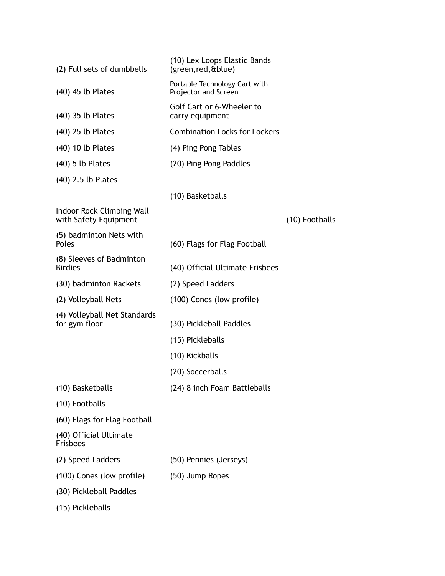| (2) Full sets of dumbbells                         | (10) Lex Loops Elastic Bands<br>(green, red, & blue)  |                |
|----------------------------------------------------|-------------------------------------------------------|----------------|
| (40) 45 lb Plates                                  | Portable Technology Cart with<br>Projector and Screen |                |
| (40) 35 lb Plates                                  | Golf Cart or 6-Wheeler to<br>carry equipment          |                |
| (40) 25 lb Plates                                  | <b>Combination Locks for Lockers</b>                  |                |
| (40) 10 lb Plates                                  | (4) Ping Pong Tables                                  |                |
| $(40)$ 5 lb Plates                                 | (20) Ping Pong Paddles                                |                |
| (40) 2.5 lb Plates                                 |                                                       |                |
|                                                    | (10) Basketballs                                      |                |
| Indoor Rock Climbing Wall<br>with Safety Equipment |                                                       | (10) Footballs |
| (5) badminton Nets with<br>Poles                   | (60) Flags for Flag Football                          |                |
| (8) Sleeves of Badminton<br><b>Birdies</b>         | (40) Official Ultimate Frisbees                       |                |
| (30) badminton Rackets                             | (2) Speed Ladders                                     |                |
| (2) Volleyball Nets                                | (100) Cones (low profile)                             |                |
| (4) Volleyball Net Standards<br>for gym floor      | (30) Pickleball Paddles                               |                |
|                                                    | (15) Pickleballs                                      |                |
|                                                    | (10) Kickballs                                        |                |
|                                                    | (20) Soccerballs                                      |                |
| (10) Basketballs                                   | (24) 8 inch Foam Battleballs                          |                |
| (10) Footballs                                     |                                                       |                |
| (60) Flags for Flag Football                       |                                                       |                |
| (40) Official Ultimate<br><b>Frisbees</b>          |                                                       |                |
| (2) Speed Ladders                                  | (50) Pennies (Jerseys)                                |                |
| (100) Cones (low profile)                          | (50) Jump Ropes                                       |                |
| (30) Pickleball Paddles                            |                                                       |                |
| (15) Pickleballs                                   |                                                       |                |